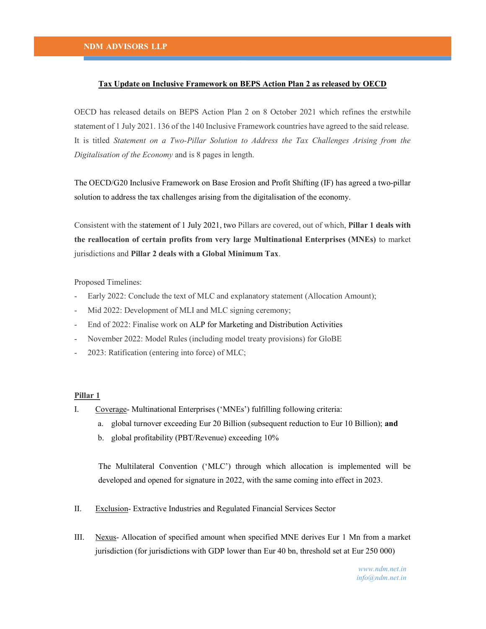## Tax Update on Inclusive Framework on BEPS Action Plan 2 as released by OECD

OECD has released details on BEPS Action Plan 2 on 8 October 2021 which refines the erstwhile statement of 1 July 2021. 136 of the 140 Inclusive Framework countries have agreed to the said release. It is titled Statement on a Two-Pillar Solution to Address the Tax Challenges Arising from the Digitalisation of the Economy and is 8 pages in length.

The OECD/G20 Inclusive Framework on Base Erosion and Profit Shifting (IF) has agreed a two-pillar solution to address the tax challenges arising from the digitalisation of the economy.

Consistent with the statement of 1 July 2021, two Pillars are covered, out of which, Pillar 1 deals with the reallocation of certain profits from very large Multinational Enterprises (MNEs) to market jurisdictions and Pillar 2 deals with a Global Minimum Tax.

Proposed Timelines:

- Early 2022: Conclude the text of MLC and explanatory statement (Allocation Amount);
- Mid 2022: Development of MLI and MLC signing ceremony;
- End of 2022: Finalise work on ALP for Marketing and Distribution Activities
- November 2022: Model Rules (including model treaty provisions) for GloBE
- 2023: Ratification (entering into force) of MLC;

## Pillar 1

- I. Coverage- Multinational Enterprises ('MNEs') fulfilling following criteria:
	- a. global turnover exceeding Eur 20 Billion (subsequent reduction to Eur 10 Billion); and
	- b. global profitability (PBT/Revenue) exceeding 10%

The Multilateral Convention ('MLC') through which allocation is implemented will be developed and opened for signature in 2022, with the same coming into effect in 2023.

- II. Exclusion- Extractive Industries and Regulated Financial Services Sector
- III. Nexus- Allocation of specified amount when specified MNE derives Eur 1 Mn from a market jurisdiction (for jurisdictions with GDP lower than Eur 40 bn, threshold set at Eur 250 000)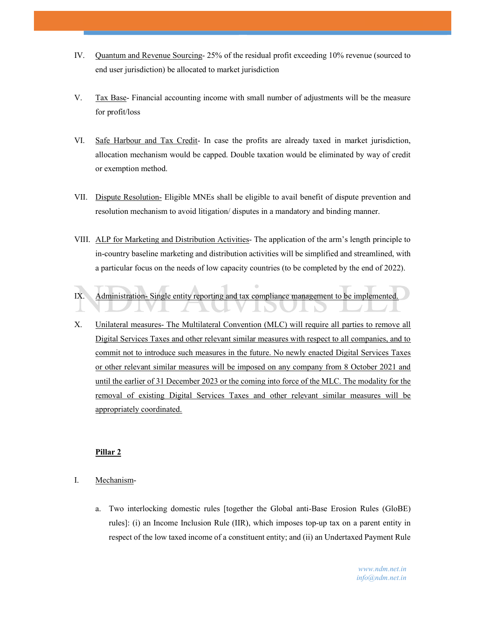- IV. Quantum and Revenue Sourcing- 25% of the residual profit exceeding 10% revenue (sourced to end user jurisdiction) be allocated to market jurisdiction
- V. Tax Base- Financial accounting income with small number of adjustments will be the measure for profit/loss
- VI. Safe Harbour and Tax Credit- In case the profits are already taxed in market jurisdiction, allocation mechanism would be capped. Double taxation would be eliminated by way of credit or exemption method.
- VII. Dispute Resolution- Eligible MNEs shall be eligible to avail benefit of dispute prevention and resolution mechanism to avoid litigation/ disputes in a mandatory and binding manner.
- VIII. ALP for Marketing and Distribution Activities- The application of the arm's length principle to in-country baseline marketing and distribution activities will be simplified and streamlined, with a particular focus on the needs of low capacity countries (to be completed by the end of 2022).
- IX. Administration- Single entity reporting and tax compliance management to be implemented.
- X. Unilateral measures- The Multilateral Convention (MLC) will require all parties to remove all Digital Services Taxes and other relevant similar measures with respect to all companies, and to commit not to introduce such measures in the future. No newly enacted Digital Services Taxes or other relevant similar measures will be imposed on any company from 8 October 2021 and until the earlier of 31 December 2023 or the coming into force of the MLC. The modality for the removal of existing Digital Services Taxes and other relevant similar measures will be appropriately coordinated.

## Pillar 2

- I. Mechanism
	- a. Two interlocking domestic rules [together the Global anti-Base Erosion Rules (GloBE) rules]: (i) an Income Inclusion Rule (IIR), which imposes top-up tax on a parent entity in respect of the low taxed income of a constituent entity; and (ii) an Undertaxed Payment Rule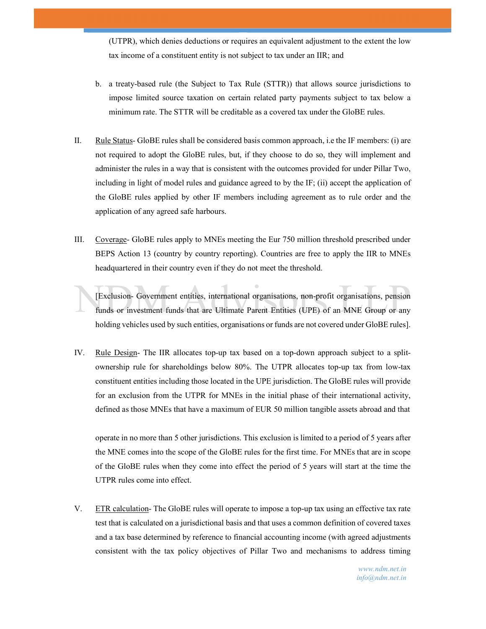(UTPR), which denies deductions or requires an equivalent adjustment to the extent the low tax income of a constituent entity is not subject to tax under an IIR; and

- b. a treaty-based rule (the Subject to Tax Rule (STTR)) that allows source jurisdictions to impose limited source taxation on certain related party payments subject to tax below a minimum rate. The STTR will be creditable as a covered tax under the GloBE rules.
- II. Rule Status- GloBE rules shall be considered basis common approach, i.e the IF members: (i) are not required to adopt the GloBE rules, but, if they choose to do so, they will implement and administer the rules in a way that is consistent with the outcomes provided for under Pillar Two, including in light of model rules and guidance agreed to by the IF; (ii) accept the application of the GloBE rules applied by other IF members including agreement as to rule order and the application of any agreed safe harbours.
- III. Coverage- GloBE rules apply to MNEs meeting the Eur 750 million threshold prescribed under BEPS Action 13 (country by country reporting). Countries are free to apply the IIR to MNEs headquartered in their country even if they do not meet the threshold.

[Exclusion- Government entities, international organisations, non-profit organisations, pension funds or investment funds that are Ultimate Parent Entities (UPE) of an MNE Group or any holding vehicles used by such entities, organisations or funds are not covered under GloBE rules].

IV. Rule Design- The IIR allocates top-up tax based on a top-down approach subject to a splitownership rule for shareholdings below 80%. The UTPR allocates top-up tax from low-tax constituent entities including those located in the UPE jurisdiction. The GloBE rules will provide for an exclusion from the UTPR for MNEs in the initial phase of their international activity, defined as those MNEs that have a maximum of EUR 50 million tangible assets abroad and that

operate in no more than 5 other jurisdictions. This exclusion is limited to a period of 5 years after the MNE comes into the scope of the GloBE rules for the first time. For MNEs that are in scope of the GloBE rules when they come into effect the period of 5 years will start at the time the UTPR rules come into effect.

V. ETR calculation- The GloBE rules will operate to impose a top-up tax using an effective tax rate test that is calculated on a jurisdictional basis and that uses a common definition of covered taxes and a tax base determined by reference to financial accounting income (with agreed adjustments consistent with the tax policy objectives of Pillar Two and mechanisms to address timing

> www.ndm.net.in info@ndm.net.in